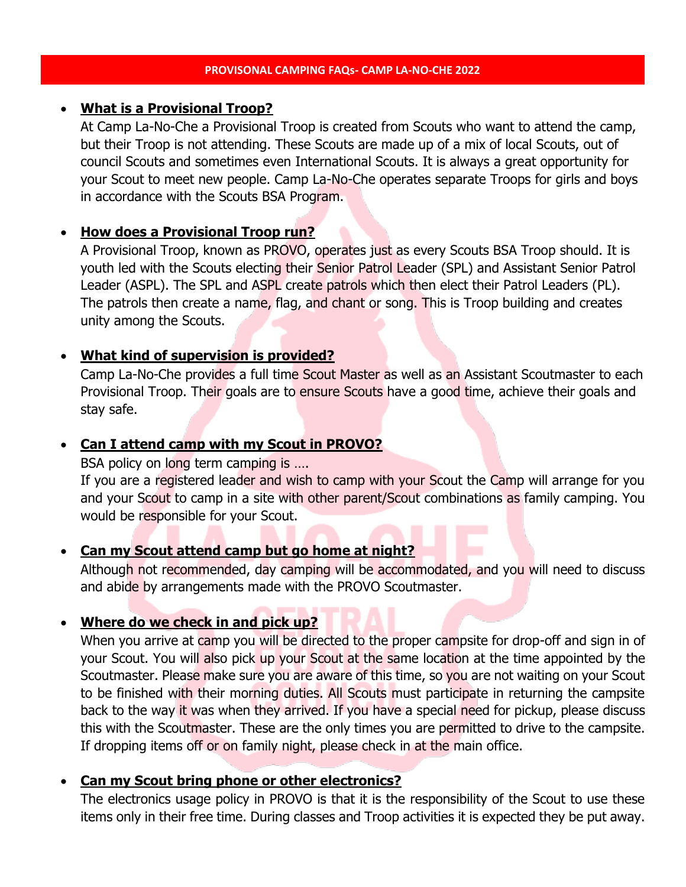### • **What is a Provisional Troop?**

At Camp La-No-Che a Provisional Troop is created from Scouts who want to attend the camp, but their Troop is not attending. These Scouts are made up of a mix of local Scouts, out of council Scouts and sometimes even International Scouts. It is always a great opportunity for your Scout to meet new people. Camp La-No-Che operates separate Troops for girls and boys in accordance with the Scouts BSA Program.

## • **How does a Provisional Troop run?**

A Provisional Troop, known as PROVO, operates just as every Scouts BSA Troop should. It is youth led with the Scouts electing their Senior Patrol Leader (SPL) and Assistant Senior Patrol Leader (ASPL). The SPL and ASPL create patrols which then elect their Patrol Leaders (PL). The patrols then create a name, flag, and chant or song. This is Troop building and creates unity among the Scouts.

# • **What kind of supervision is provided?**

Camp La-No-Che provides a full time Scout Master as well as an Assistant Scoutmaster to each Provisional Troop. Their goals are to ensure Scouts have a good time, achieve their goals and stay safe.

# • **Can I attend camp with my Scout in PROVO?**

BSA policy on long term camping is ....

If you are a registered leader and wish to camp with your Scout the Camp will arrange for you and your Scout to camp in a site with other parent/Scout combinations as family camping. You would be responsible for your Scout.

### • **Can my Scout attend camp but go home at night?**

Although not recommended, day camping will be accommodated, and you will need to discuss and abide by arrangements made with the PROVO Scoutmaster.

# • **Where do we check in and pick up?**

When you arrive at camp you will be directed to the proper campsite for drop-off and sign in of your Scout. You will also pick up your Scout at the same location at the time appointed by the Scoutmaster. Please make sure you are aware of this time, so you are not waiting on your Scout to be finished with their morning duties. All Scouts must participate in returning the campsite back to the way it was when they arrived. If you have a special need for pickup, please discuss this with the Scoutmaster. These are the only times you are permitted to drive to the campsite. If dropping items off or on family night, please check in at the main office.

# • **Can my Scout bring phone or other electronics?**

The electronics usage policy in PROVO is that it is the responsibility of the Scout to use these items only in their free time. During classes and Troop activities it is expected they be put away.